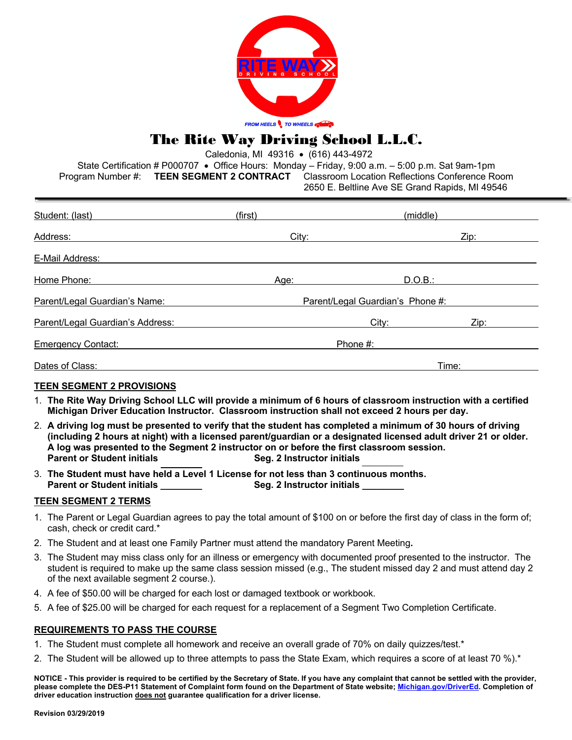

## The Rite Way Driving School L.L.C.

Caledonia, MI 49316 • (616) 443-4972

State Certification # P000707 • Office Hours: Monday – Friday, 9:00 a.m. – 5:00 p.m. Sat 9am-1pm Program Number #: **TEEN SEGMENT 2 CONTRACT** Classroom Location Reflections Conference Room  $2650 E.$  Beltline Ave SE  $Cr$ 

| ZOOU E. Deluirie Ave SE Grafiu Rapius, MI 49040 |
|-------------------------------------------------|
|                                                 |
|                                                 |
|                                                 |
| .                                               |

| Student: (last)                  | (first)                          | (middle) |      |
|----------------------------------|----------------------------------|----------|------|
| Address:                         | City:                            |          | Zip: |
| E-Mail Address:                  |                                  |          |      |
| Home Phone:                      | Age:                             | D.O.B.:  |      |
| Parent/Legal Guardian's Name:    | Parent/Legal Guardian's Phone #: |          |      |
| Parent/Legal Guardian's Address: |                                  | City:    | Zip: |
| <b>Emergency Contact:</b>        | Phone #:                         |          |      |
| Dates of Class:                  | Time:                            |          |      |

#### **TEEN SEGMENT 2 PROVISIONS**

- 1. **The Rite Way Driving School LLC will provide a minimum of 6 hours of classroom instruction with a certified Michigan Driver Education Instructor. Classroom instruction shall not exceed 2 hours per day.**
- 2. **A driving log must be presented to verify that the student has completed a minimum of 30 hours of driving (including 2 hours at night) with a licensed parent/guardian or a designated licensed adult driver 21 or older. A log was presented to the Segment 2 instructor on or before the first classroom session. Parent or Student initials Seg. 2 Instructor initials**
- 3. **The Student must have held a Level 1 License for not less than 3 continuous months. Parent or Student initials Let up and Seg. 2 Instructor initials Let up and Seg. 2 Instructor initials**

#### **TEEN SEGMENT 2 TERMS**

- 1. The Parent or Legal Guardian agrees to pay the total amount of \$100 on or before the first day of class in the form of; cash, check or credit card.\*
- 2. The Student and at least one Family Partner must attend the mandatory Parent Meeting**.**
- 3. The Student may miss class only for an illness or emergency with documented proof presented to the instructor. The student is required to make up the same class session missed (e.g., The student missed day 2 and must attend day 2 of the next available segment 2 course.).
- 4. A fee of \$50.00 will be charged for each lost or damaged textbook or workbook.
- 5. A fee of \$25.00 will be charged for each request for a replacement of a Segment Two Completion Certificate.

#### **REQUIREMENTS TO PASS THE COURSE**

- 1. The Student must complete all homework and receive an overall grade of 70% on daily quizzes/test.\*
- 2. The Student will be allowed up to three attempts to pass the State Exam, which requires a score of at least 70 %).\*

**NOTICE - This provider is required to be certified by the Secretary of State. If you have any complaint that cannot be settled with the provider,**  please complete the DES-P11 Statement of Complaint form found on the Department of State website; Michigan.gov/DriverEd. Completion of **driver education instruction does not guarantee qualification for a driver license.**